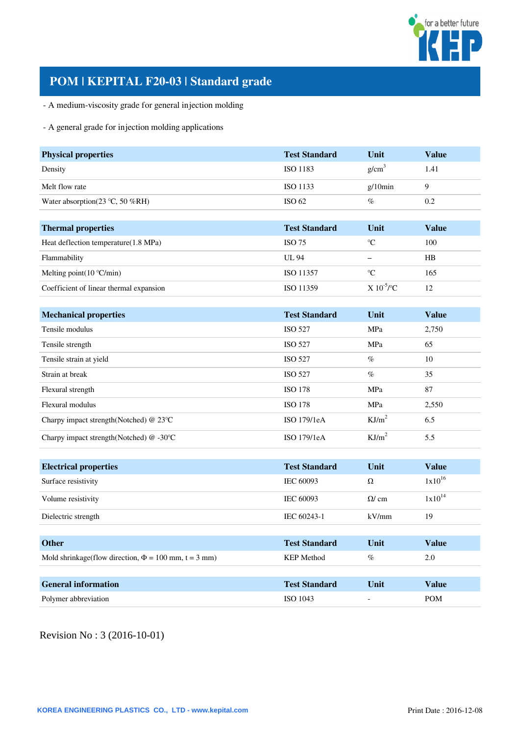

# **POM | KEPITAL F20-03 | Standard grade**

- A medium-viscosity grade for general injection molding

# - A general grade for injection molding applications

| <b>Physical properties</b>              | <b>Test Standard</b> | Unit              | <b>Value</b> |
|-----------------------------------------|----------------------|-------------------|--------------|
| Density                                 | <b>ISO 1183</b>      | g/cm <sup>3</sup> | 1.41         |
| Melt flow rate                          | ISO 1133             | $g/10$ min        | 9            |
| Water absorption(23 °C, 50 %RH)         | ISO 62               | $\%$              | 0.2          |
|                                         |                      |                   |              |
| <b>Thermal properties</b>               | <b>Test Standard</b> | Unit              | <b>Value</b> |
| Heat deflection temperature(1.8 MPa)    | <b>ISO 75</b>        | $\rm ^{\circ}C$   | 100          |
| Flammability                            | <b>UL 94</b>         | $\qquad \qquad -$ | HB           |
| Melting point $(10 °C/min)$             | ISO 11357            | $\rm ^{\circ}C$   | 165          |
| Coefficient of linear thermal expansion | ISO 11359            | $X 10^{-5}$ /°C   | 12           |
|                                         |                      |                   |              |
| <b>Mechanical properties</b>            | <b>Test Standard</b> | Unit              | <b>Value</b> |
| Tensile modulus                         | <b>ISO 527</b>       | MPa               | 2,750        |
| Tensile strength                        | <b>ISO 527</b>       | MPa               | 65           |
| Tensile strain at yield                 | <b>ISO 527</b>       | $\%$              | 10           |
| Strain at break                         | <b>ISO 527</b>       | $\%$              | 35           |
| Flexural strength                       | <b>ISO 178</b>       | MPa               | 87           |
| Flexural modulus                        | <b>ISO 178</b>       | MPa               | 2,550        |
| Charpy impact strength(Notched) @ 23°C  | ISO 179/1eA          | KJ/m <sup>2</sup> | 6.5          |
| Charpy impact strength(Notched) @-30°C  | ISO 179/1eA          | KJ/m <sup>2</sup> | 5.5          |
|                                         |                      |                   |              |
| <b>Electrical properties</b>            | <b>Test Standard</b> | Unit              | <b>Value</b> |
| Surface resistivity                     | IEC 60093            | Ω                 | $1x10^{16}$  |

| Surface resistivity                                         | IEC 60093            | Ω           | $1x10^{10}$  |
|-------------------------------------------------------------|----------------------|-------------|--------------|
| Volume resistivity                                          | <b>IEC 60093</b>     | $\Omega$ cm | $1x10^{14}$  |
| Dielectric strength                                         | IEC 60243-1          | kV/mm       | 19           |
|                                                             |                      |             |              |
| <b>Other</b>                                                | <b>Test Standard</b> | Unit        | <b>Value</b> |
| Mold shrinkage(flow direction, $\Phi = 100$ mm, $t = 3$ mm) | <b>KEP</b> Method    | $\%$        | 2.0          |
|                                                             |                      |             |              |
| <b>General information</b>                                  | <b>Test Standard</b> | Unit        | <b>Value</b> |
| Polymer abbreviation                                        | ISO 1043             |             | <b>POM</b>   |

Revision No : 3 (2016-10-01)